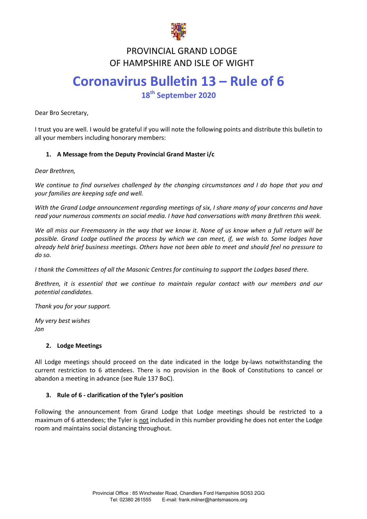

#### **FRUVINCIAL GRAND LUDGE<br>TE HAMBSHIBE AND ISLE OF WICH** PROVINCIAL GRAND LODGE OF HAMPSHIRE AND ISLE OF WIGHT

# **Coronavirus Bulletin 13 – Rule of 6 18th September 2020**

Dear Bro Secretary,

I trust you are well. I would be grateful if you will note the following points and distribute this bulletin to all your members including honorary members:

# **1. A Message from the Deputy Provincial Grand Master i/c**

*Dear Brethren,*

*We continue to find ourselves challenged by the changing circumstances and I do hope that you and your families are keeping safe and well.*

*With the Grand Lodge announcement regarding meetings of six, I share many of your concerns and have read your numerous comments on social media. I have had conversations with many Brethren this week.*

*We all miss our Freemasonry in the way that we know it. None of us know when a full return will be possible. Grand Lodge outlined the process by which we can meet, if, we wish to. Some lodges have already held brief business meetings. Others have not been able to meet and should feel no pressure to do so.*

*I thank the Committees of all the Masonic Centres for continuing to support the Lodges based there.* 

*Brethren, it is essential that we continue to maintain regular contact with our members and our potential candidates.* 

*Thank you for your support.*

*My very best wishes Jon* 

# **2. Lodge Meetings**

All Lodge meetings should proceed on the date indicated in the lodge by-laws notwithstanding the current restriction to 6 attendees. There is no provision in the Book of Constitutions to cancel or abandon a meeting in advance (see Rule 137 BoC).

# **3. Rule of 6 - clarification of the Tyler's position**

Following the announcement from Grand Lodge that Lodge meetings should be restricted to a maximum of 6 attendees; the Tyler is not included in this number providing he does not enter the Lodge room and maintains social distancing throughout.